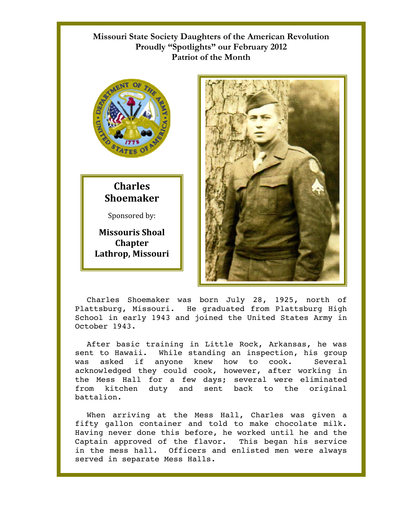## **Missouri State Society Daughters of the American Revolution Proudly "Spotlights" our February 2012 Patriot of the Month**



## **Charles Shoemaker**

Sponsored by:

**Missouris Shoal Chapter Lathrop, Missouri** 



Charles Shoemaker was born July 28, 1925, north of Plattsburg, Missouri. He graduated from Plattsburg High School in early 1943 and joined the United States Army in October 1943.

After basic training in Little Rock, Arkansas, he was sent to Hawaii. While standing an inspection, his group was asked if anyone knew how to cook. Several acknowledged they could cook, however, after working in the Mess Hall for a few days; several were eliminated from kitchen duty and sent back to the original battalion.

When arriving at the Mess Hall, Charles was given a fifty gallon container and told to make chocolate milk. Having never done this before, he worked until he and the Captain approved of the flavor. This began his service in the mess hall. Officers and enlisted men were always served in separate Mess Halls.